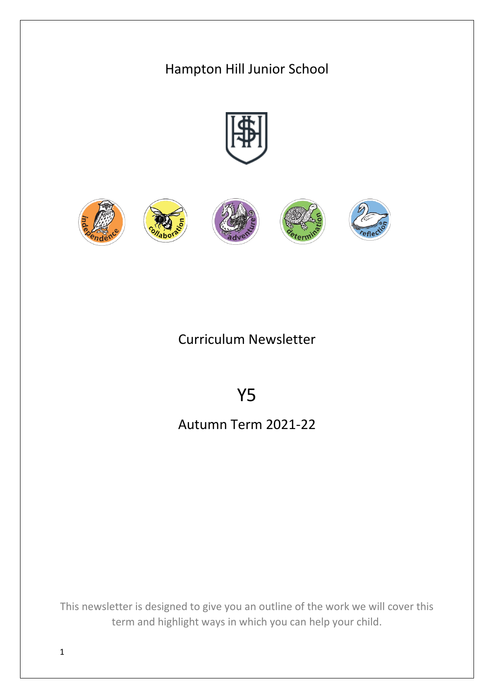# Hampton Hill Junior School



## Curriculum Newsletter

# Y5

# Autumn Term 2021-22

This newsletter is designed to give you an outline of the work we will cover this term and highlight ways in which you can help your child.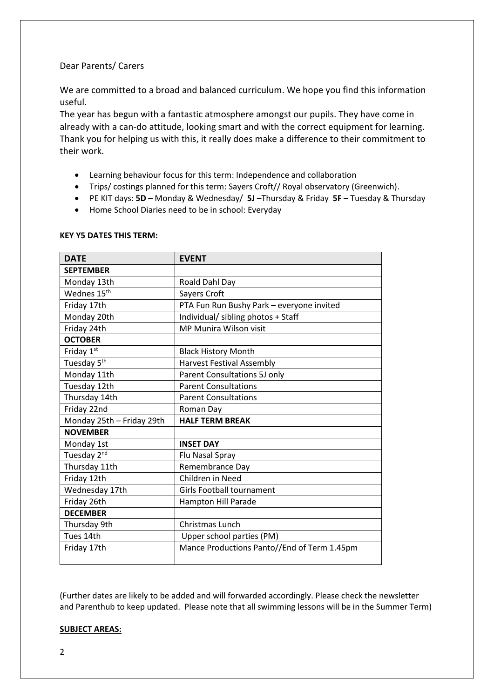## Dear Parents/ Carers

We are committed to a broad and balanced curriculum. We hope you find this information useful.

The year has begun with a fantastic atmosphere amongst our pupils. They have come in already with a can-do attitude, looking smart and with the correct equipment for learning. Thank you for helping us with this, it really does make a difference to their commitment to their work.

- Learning behaviour focus for this term: Independence and collaboration
- Trips/ costings planned for this term: Sayers Croft// Royal observatory (Greenwich).
- PE KIT days: **5D** Monday & Wednesday/ **5J** –Thursday & Friday **5F** Tuesday & Thursday
- Home School Diaries need to be in school: Everyday

## **KEY Y5 DATES THIS TERM:**

| <b>DATE</b>               | <b>EVENT</b>                                |
|---------------------------|---------------------------------------------|
| <b>SEPTEMBER</b>          |                                             |
| Monday 13th               | Roald Dahl Day                              |
| Wednes 15 <sup>th</sup>   | Sayers Croft                                |
| Friday 17th               | PTA Fun Run Bushy Park - everyone invited   |
| Monday 20th               | Individual/ sibling photos + Staff          |
| Friday 24th               | MP Munira Wilson visit                      |
| <b>OCTOBER</b>            |                                             |
| Friday 1st                | <b>Black History Month</b>                  |
| Tuesday 5 <sup>th</sup>   | Harvest Festival Assembly                   |
| Monday 11th               | Parent Consultations 5J only                |
| Tuesday 12th              | <b>Parent Consultations</b>                 |
| Thursday 14th             | <b>Parent Consultations</b>                 |
| Friday 22nd               | Roman Day                                   |
| Monday 25th - Friday 29th | <b>HALF TERM BREAK</b>                      |
| <b>NOVEMBER</b>           |                                             |
| Monday 1st                | <b>INSET DAY</b>                            |
| Tuesday 2 <sup>nd</sup>   | Flu Nasal Spray                             |
| Thursday 11th             | Remembrance Day                             |
| Friday 12th               | Children in Need                            |
| Wednesday 17th            | <b>Girls Football tournament</b>            |
| Friday 26th               | Hampton Hill Parade                         |
| <b>DECEMBER</b>           |                                             |
| Thursday 9th              | <b>Christmas Lunch</b>                      |
| Tues 14th                 | Upper school parties (PM)                   |
| Friday 17th               | Mance Productions Panto//End of Term 1.45pm |
|                           |                                             |

(Further dates are likely to be added and will forwarded accordingly. Please check the newsletter and Parenthub to keep updated. Please note that all swimming lessons will be in the Summer Term)

## **SUBJECT AREAS:**